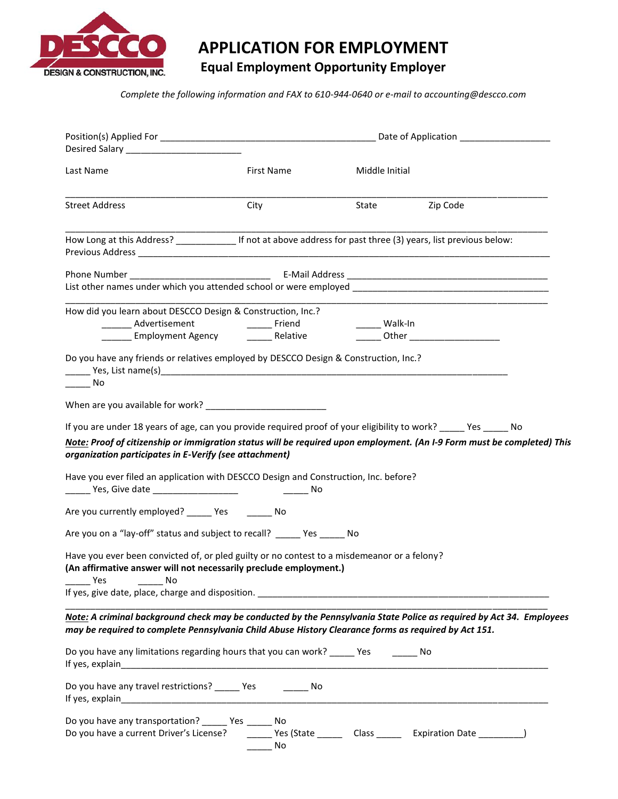

# **APPLICATION FOR EMPLOYMENT**

# **Equal Employment Opportunity Employer**

*Complete the following information and FAX to 610-944-0640 or e-mail to accounting@descco.com*

| Last Name                                                                                                                                                                                                                                                                                             | First Name              | Middle Initial |                                                             |  |
|-------------------------------------------------------------------------------------------------------------------------------------------------------------------------------------------------------------------------------------------------------------------------------------------------------|-------------------------|----------------|-------------------------------------------------------------|--|
| <b>Street Address</b>                                                                                                                                                                                                                                                                                 | City                    | State          | Zip Code                                                    |  |
| How Long at this Address? _______________ If not at above address for past three (3) years, list previous below:                                                                                                                                                                                      |                         |                |                                                             |  |
|                                                                                                                                                                                                                                                                                                       |                         |                |                                                             |  |
| How did you learn about DESCCO Design & Construction, Inc.?                                                                                                                                                                                                                                           |                         |                | <u> 1989 - Johann Stoff, Amerikaansk politiker (* 1908)</u> |  |
| _________ Advertisement                                                                                                                                                                                                                                                                               | <b>Example 2</b> Friend | _____ Walk-In  |                                                             |  |
|                                                                                                                                                                                                                                                                                                       |                         |                |                                                             |  |
| Do you have any friends or relatives employed by DESCCO Design & Construction, Inc.?<br>$\frac{1}{1}$ No                                                                                                                                                                                              |                         |                |                                                             |  |
|                                                                                                                                                                                                                                                                                                       |                         |                |                                                             |  |
| If you are under 18 years of age, can you provide required proof of your eligibility to work? _____ Yes _____ No<br>Note: Proof of citizenship or immigration status will be required upon employment. (An I-9 Form must be completed) This<br>organization participates in E-Verify (see attachment) |                         |                |                                                             |  |
| Have you ever filed an application with DESCCO Design and Construction, Inc. before?                                                                                                                                                                                                                  |                         |                |                                                             |  |
| Are you currently employed? ______ Yes _______ No                                                                                                                                                                                                                                                     |                         |                |                                                             |  |
| Are you on a "lay-off" status and subject to recall? ______ Yes ______ No                                                                                                                                                                                                                             |                         |                |                                                             |  |
| Have you ever been convicted of, or pled guilty or no contest to a misdemeanor or a felony?<br>(An affirmative answer will not necessarily preclude employment.)<br><b>Press</b><br>No                                                                                                                |                         |                |                                                             |  |
|                                                                                                                                                                                                                                                                                                       |                         |                |                                                             |  |
| Note: A criminal background check may be conducted by the Pennsylvania State Police as required by Act 34. Employees<br>may be required to complete Pennsylvania Child Abuse History Clearance forms as required by Act 151.                                                                          |                         |                |                                                             |  |
| Do you have any limitations regarding hours that you can work? _____ Yes _______ No                                                                                                                                                                                                                   |                         |                |                                                             |  |
| Do you have any travel restrictions? ______ Yes ________ No                                                                                                                                                                                                                                           |                         |                |                                                             |  |
| Do you have any transportation? ______ Yes ______ No<br>Do you have a current Driver's License? ________ Yes (State ________ Class _______ Expiration Date __________)                                                                                                                                | - No                    |                |                                                             |  |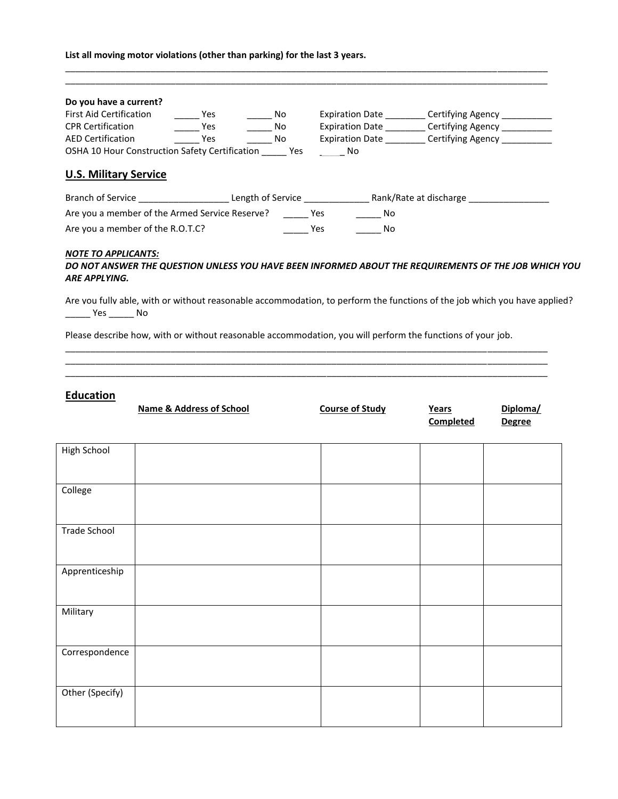| List all moving motor violations (other than parking) for the last 3 years. |  |  |  |
|-----------------------------------------------------------------------------|--|--|--|
|-----------------------------------------------------------------------------|--|--|--|

| Do you have a current?                                     |            |     |                        |                        |
|------------------------------------------------------------|------------|-----|------------------------|------------------------|
| <b>First Aid Certification</b>                             | Yes        | No. | <b>Expiration Date</b> | Certifying Agency      |
| <b>CPR Certification</b>                                   | <b>Yes</b> | No. | <b>Expiration Date</b> | Certifying Agency      |
| <b>AED Certification</b>                                   | Yes        | No. | <b>Expiration Date</b> | Certifying Agency _    |
|                                                            |            |     |                        |                        |
| OSHA 10 Hour Construction Safety Certification             |            | Yes | No                     |                        |
| <b>U.S. Military Service</b>                               |            |     |                        |                        |
| Branch of Service <b>Example 2 Lease Length of Service</b> |            |     |                        | Rank/Rate at discharge |
| Are you a member of the Armed Service Reserve?             |            |     | No.<br>Yes             |                        |

\_\_\_\_\_\_\_\_\_\_\_\_\_\_\_\_\_\_\_\_\_\_\_\_\_\_\_\_\_\_\_\_\_\_\_\_\_\_\_\_\_\_\_\_\_\_\_\_\_\_\_\_\_\_\_\_\_\_\_\_\_\_\_\_\_\_\_\_\_\_\_\_\_\_\_\_\_\_\_\_\_\_\_\_\_\_\_\_\_\_\_\_\_\_\_\_

#### *NOTE TO APPLICANTS:*

## *DO NOT ANSWER THE QUESTION UNLESS YOU HAVE BEEN INFORMED ABOUT THE REQUIREMENTS OF THE JOB WHICH YOU ARE APPLYING.*

Are you fully able, with or without reasonable accommodation, to perform the functions of the job which you have applied? \_\_\_\_\_ Yes \_\_\_\_\_ No

Please describe how, with or without reasonable accommodation, you will perform the functions of your job.

\_\_\_\_\_\_\_\_\_\_\_\_\_\_\_\_\_\_\_\_\_\_\_\_\_\_\_\_\_\_\_\_\_\_\_\_\_\_\_\_\_\_\_\_\_\_\_\_\_\_\_\_\_\_\_\_\_\_\_\_\_\_\_\_\_\_\_\_\_\_\_\_\_\_\_\_\_\_\_\_\_\_\_\_\_\_\_\_\_\_\_\_\_\_\_\_ \_\_\_\_\_\_\_\_\_\_\_\_\_\_\_\_\_\_\_\_\_\_\_\_\_\_\_\_\_\_\_\_\_\_\_\_\_\_\_\_\_\_\_\_\_\_\_\_\_\_\_\_\_\_\_\_\_\_\_\_\_\_\_\_\_\_\_\_\_\_\_\_\_\_\_\_\_\_\_\_\_\_\_\_\_\_\_\_\_\_\_\_\_\_\_\_ \_\_\_\_\_\_\_\_\_\_\_\_\_\_\_\_\_\_\_\_\_\_\_\_\_\_\_\_\_\_\_\_\_\_\_\_\_\_\_\_\_\_\_\_\_\_\_\_\_\_\_\_\_\_\_\_\_\_\_\_\_\_\_\_\_\_\_\_\_\_\_\_\_\_\_\_\_\_\_\_\_\_\_\_\_\_\_\_\_\_\_\_\_\_\_\_

# **Education**

|                 | <b>Name &amp; Address of School</b> | <b>Course of Study</b> | Years<br><b>Completed</b> | Diploma/<br><b>Degree</b> |
|-----------------|-------------------------------------|------------------------|---------------------------|---------------------------|
| High School     |                                     |                        |                           |                           |
| College         |                                     |                        |                           |                           |
| Trade School    |                                     |                        |                           |                           |
| Apprenticeship  |                                     |                        |                           |                           |
| Military        |                                     |                        |                           |                           |
| Correspondence  |                                     |                        |                           |                           |
| Other (Specify) |                                     |                        |                           |                           |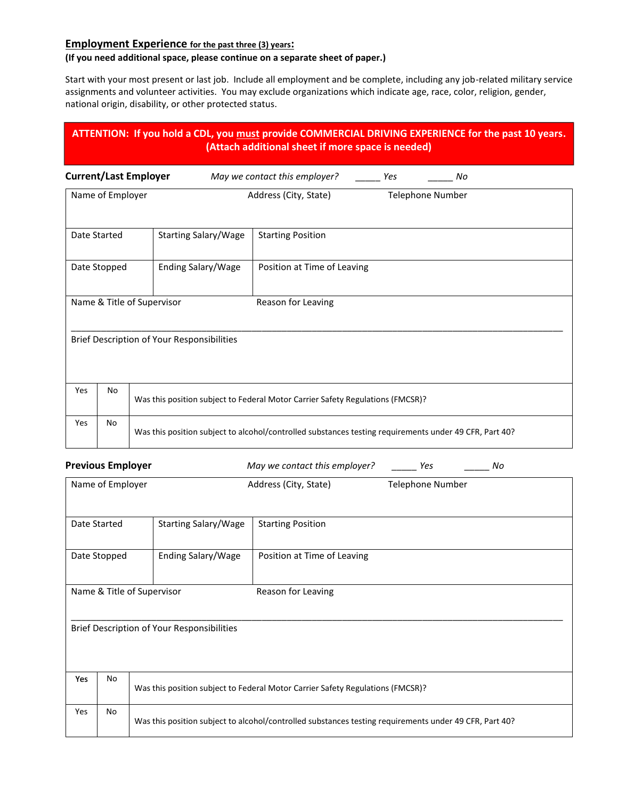# **Employment Experience for the past three (3) years:**

# **(If you need additional space, please continue on a separate sheet of paper.)**

Start with your most present or last job. Include all employment and be complete, including any job-related military service assignments and volunteer activities. You may exclude organizations which indicate age, race, color, religion, gender, national origin, disability, or other protected status.

|                              |                            |                                                   | ATTENTION: If you hold a CDL, you must provide COMMERCIAL DRIVING EXPERIENCE for the past 10 years.<br>(Attach additional sheet if more space is needed) |     |                         |  |
|------------------------------|----------------------------|---------------------------------------------------|----------------------------------------------------------------------------------------------------------------------------------------------------------|-----|-------------------------|--|
| <b>Current/Last Employer</b> |                            |                                                   | May we contact this employer?                                                                                                                            | Yes | No                      |  |
|                              | Name of Employer           |                                                   | Address (City, State)                                                                                                                                    |     | <b>Telephone Number</b> |  |
| Date Started                 |                            | <b>Starting Salary/Wage</b>                       | <b>Starting Position</b>                                                                                                                                 |     |                         |  |
|                              | Date Stopped               | Ending Salary/Wage                                | Position at Time of Leaving                                                                                                                              |     |                         |  |
|                              | Name & Title of Supervisor |                                                   | Reason for Leaving                                                                                                                                       |     |                         |  |
|                              |                            | <b>Brief Description of Your Responsibilities</b> |                                                                                                                                                          |     |                         |  |
| Yes                          | No                         |                                                   | Was this position subject to Federal Motor Carrier Safety Regulations (FMCSR)?                                                                           |     |                         |  |
| Yes                          | No                         |                                                   | Was this position subject to alcohol/controlled substances testing requirements under 49 CFR, Part 40?                                                   |     |                         |  |
| <b>Previous Employer</b>     |                            |                                                   | May we contact this employer?                                                                                                                            |     | Yes<br>No               |  |
|                              | Name of Employer           |                                                   | Address (City, State)                                                                                                                                    |     | Telephone Number        |  |
| Date Started                 |                            | <b>Starting Salary/Wage</b>                       | <b>Starting Position</b>                                                                                                                                 |     |                         |  |
|                              | Date Stopped               | Ending Salary/Wage                                | Position at Time of Leaving                                                                                                                              |     |                         |  |
|                              | Name & Title of Supervisor |                                                   | Reason for Leaving                                                                                                                                       |     |                         |  |
|                              |                            | <b>Brief Description of Your Responsibilities</b> |                                                                                                                                                          |     |                         |  |
| Yes                          | No                         |                                                   | Was this position subject to Federal Motor Carrier Safety Regulations (FMCSR)?                                                                           |     |                         |  |
| Yes                          | No                         |                                                   | Was this position subject to alcohol/controlled substances testing requirements under 49 CFR, Part 40?                                                   |     |                         |  |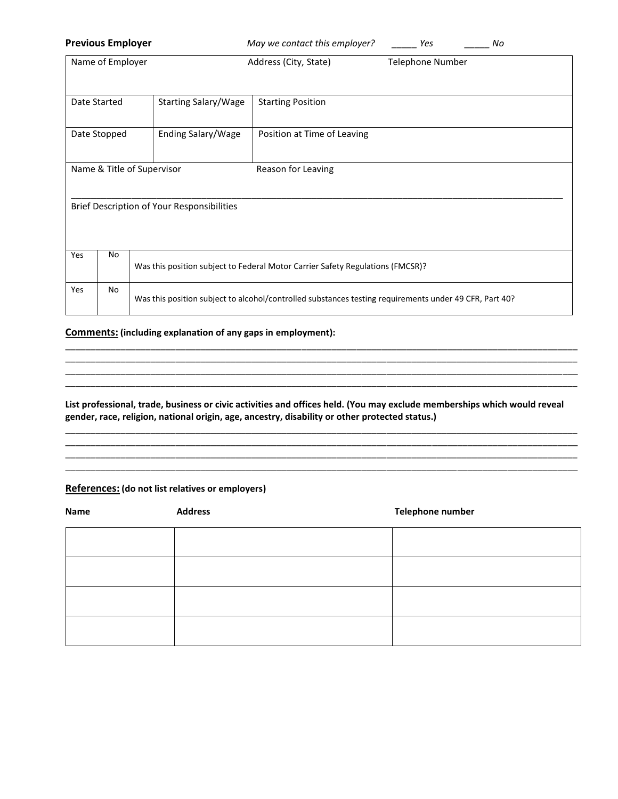|     | <b>Previous Employer</b> |                                            | May we contact this employer?                                                                          | Yes              | No |
|-----|--------------------------|--------------------------------------------|--------------------------------------------------------------------------------------------------------|------------------|----|
|     | Name of Employer         |                                            | Address (City, State)                                                                                  | Telephone Number |    |
|     | Date Started             | Starting Salary/Wage                       | <b>Starting Position</b>                                                                               |                  |    |
|     | Date Stopped             | Ending Salary/Wage                         | Position at Time of Leaving                                                                            |                  |    |
|     |                          | Name & Title of Supervisor                 | Reason for Leaving                                                                                     |                  |    |
|     |                          | Brief Description of Your Responsibilities |                                                                                                        |                  |    |
| Yes | No                       |                                            | Was this position subject to Federal Motor Carrier Safety Regulations (FMCSR)?                         |                  |    |
| Yes | No                       |                                            | Was this position subject to alcohol/controlled substances testing requirements under 49 CFR, Part 40? |                  |    |

## **Comments: (including explanation of any gaps in employment):**

#### **List professional, trade, business or civic activities and offices held. (You may exclude memberships which would reveal gender, race, religion, national origin, age, ancestry, disability or other protected status.)**

\_\_\_\_\_\_\_\_\_\_\_\_\_\_\_\_\_\_\_\_\_\_\_\_\_\_\_\_\_\_\_\_\_\_\_\_\_\_\_\_\_\_\_\_\_\_\_\_\_\_\_\_\_\_\_\_\_\_\_\_\_\_\_\_\_\_\_\_\_\_\_\_\_\_\_\_\_\_\_\_\_\_\_\_\_\_\_\_\_\_\_\_\_\_\_\_\_\_\_\_\_\_ \_\_\_\_\_\_\_\_\_\_\_\_\_\_\_\_\_\_\_\_\_\_\_\_\_\_\_\_\_\_\_\_\_\_\_\_\_\_\_\_\_\_\_\_\_\_\_\_\_\_\_\_\_\_\_\_\_\_\_\_\_\_\_\_\_\_\_\_\_\_\_\_\_\_\_\_\_\_\_\_\_\_\_\_\_\_\_\_\_\_\_\_\_\_\_\_\_\_\_\_\_\_

\_\_\_\_\_\_\_\_\_\_\_\_\_\_\_\_\_\_\_\_\_\_\_\_\_\_\_\_\_\_\_\_\_\_\_\_\_\_\_\_\_\_\_\_\_\_\_\_\_\_\_\_\_\_\_\_\_\_\_\_\_\_\_\_\_\_\_\_\_\_\_\_\_\_\_\_\_\_\_\_\_\_\_\_\_\_\_\_\_\_\_\_\_\_\_\_\_\_\_\_\_\_

\_\_\_\_\_\_\_\_\_\_\_\_\_\_\_\_\_\_\_\_\_\_\_\_\_\_\_\_\_\_\_\_\_\_\_\_\_\_\_\_\_\_\_\_\_\_\_\_\_\_\_\_\_\_\_\_\_\_\_\_\_\_\_\_\_\_\_\_\_\_\_\_\_\_\_\_\_\_\_\_\_\_\_\_\_\_\_\_\_\_\_\_\_\_\_\_\_\_\_\_\_\_ \_\_\_\_\_\_\_\_\_\_\_\_\_\_\_\_\_\_\_\_\_\_\_\_\_\_\_\_\_\_\_\_\_\_\_\_\_\_\_\_\_\_\_\_\_\_\_\_\_\_\_\_\_\_\_\_\_\_\_\_\_\_\_\_\_\_\_\_\_\_\_\_\_\_\_\_\_\_\_\_\_\_\_\_\_\_\_\_\_\_\_\_\_\_\_\_\_\_\_\_\_\_ \_\_\_\_\_\_\_\_\_\_\_\_\_\_\_\_\_\_\_\_\_\_\_\_\_\_\_\_\_\_\_\_\_\_\_\_\_\_\_\_\_\_\_\_\_\_\_\_\_\_\_\_\_\_\_\_\_\_\_\_\_\_\_\_\_\_\_\_\_\_\_\_\_\_\_\_\_\_\_\_\_\_\_\_\_\_\_\_\_\_\_\_\_\_\_\_\_\_\_\_\_\_ \_\_\_\_\_\_\_\_\_\_\_\_\_\_\_\_\_\_\_\_\_\_\_\_\_\_\_\_\_\_\_\_\_\_\_\_\_\_\_\_\_\_\_\_\_\_\_\_\_\_\_\_\_\_\_\_\_\_\_\_\_\_\_\_\_\_\_\_\_\_\_\_\_\_\_\_\_\_\_\_\_\_\_\_\_\_\_\_\_\_\_\_\_\_\_\_\_\_\_\_\_\_

## **References: (do not list relatives or employers)**

| Name | <b>Address</b> | Telephone number |
|------|----------------|------------------|
|      |                |                  |
|      |                |                  |
|      |                |                  |
|      |                |                  |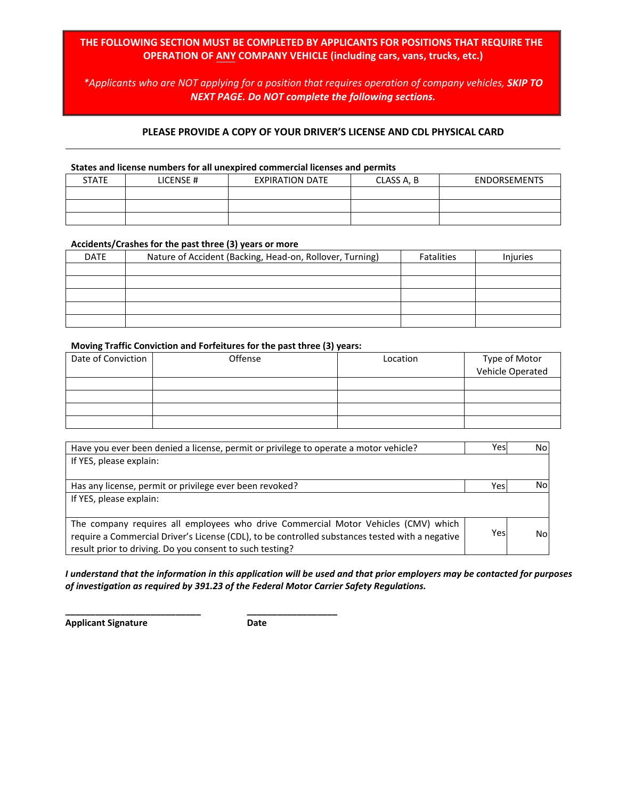# **THE FOLLOWING SECTION MUST BE COMPLETED BY APPLICANTS FOR POSITIONS THAT REQUIRE THE OPERATION OF ANY COMPANY VEHICLE (including cars, vans, trucks, etc.)**

*\*Applicants who are NOT applying for a position that requires operation of company vehicles, SKIP TO NEXT PAGE. Do NOT complete the following sections.*

### **PLEASE PROVIDE A COPY OF YOUR DRIVER'S LICENSE AND CDL PHYSICAL CARD**

#### **States and license numbers for all unexpired commercial licenses and permits**

| <b>STATE</b> | LICENSE# | <b>EXPIRATION DATE</b> | CLASS A, B | <b>ENDORSEMENTS</b> |
|--------------|----------|------------------------|------------|---------------------|
|              |          |                        |            |                     |
|              |          |                        |            |                     |
|              |          |                        |            |                     |

#### **Accidents/Crashes for the past three (3) years or more**

| <b>DATE</b> | Nature of Accident (Backing, Head-on, Rollover, Turning) | <b>Fatalities</b> | <b>Injuries</b> |
|-------------|----------------------------------------------------------|-------------------|-----------------|
|             |                                                          |                   |                 |
|             |                                                          |                   |                 |
|             |                                                          |                   |                 |
|             |                                                          |                   |                 |
|             |                                                          |                   |                 |

#### **Moving Traffic Conviction and Forfeitures for the past three (3) years:**

| Date of Conviction | Offense | Location | Type of Motor<br>Vehicle Operated |
|--------------------|---------|----------|-----------------------------------|
|                    |         |          |                                   |
|                    |         |          |                                   |
|                    |         |          |                                   |
|                    |         |          |                                   |
|                    |         |          |                                   |

| Have you ever been denied a license, permit or privilege to operate a motor vehicle?            | Yesl | No  |
|-------------------------------------------------------------------------------------------------|------|-----|
| If YES, please explain:                                                                         |      |     |
|                                                                                                 |      |     |
| Has any license, permit or privilege ever been revoked?                                         | Yesl | No  |
| If YES, please explain:                                                                         |      |     |
|                                                                                                 |      |     |
| The company requires all employees who drive Commercial Motor Vehicles (CMV) which              |      |     |
| require a Commercial Driver's License (CDL), to be controlled substances tested with a negative | Yes  | Nol |
| result prior to driving. Do you consent to such testing?                                        |      |     |

*I understand that the information in this application will be used and that prior employers may be contacted for purposes of investigation as required by 391.23 of the Federal Motor Carrier Safety Regulations.*

**Applicant Signature Date**

**\_\_\_\_\_\_\_\_\_\_\_\_\_\_\_\_\_\_\_\_\_\_\_\_\_\_\_ \_\_\_\_\_\_\_\_\_\_\_\_\_\_\_\_\_\_**